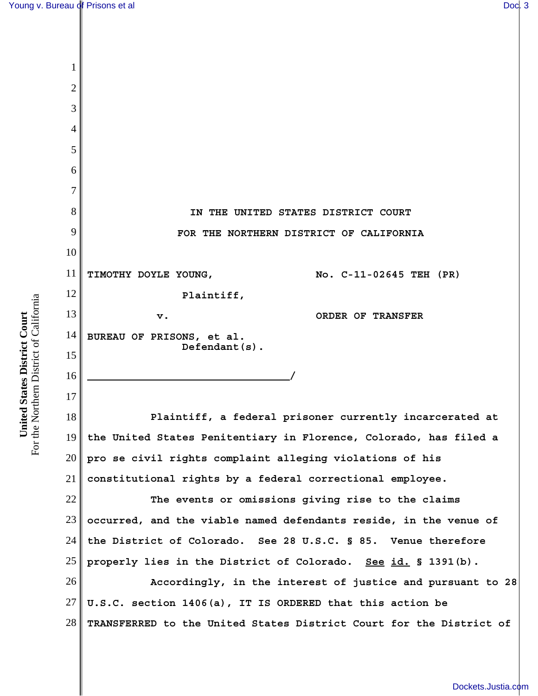1

2 3 4 5 6 7 8 9 10 11 12 13 14 15 16 17 18 19 20 **IN THE UNITED STATES DISTRICT COURT FOR THE NORTHERN DISTRICT OF CALIFORNIA TIMOTHY DOYLE YOUNG, Plaintiff, v. BUREAU OF PRISONS, et al. Defendant(s). / No. C-11-02645 TEH (PR) ORDER OF TRANSFER Plaintiff, a federal prisoner currently incarcerated at the United States Penitentiary in Florence, Colorado, has filed a pro se civil rights complaint alleging violations of his**

21 **constitutional rights by a federal correctional employee.** 

22 23 24 25 **The events or omissions giving rise to the claims occurred, and the viable named defendants reside, in the venue of the District of Colorado. See 28 U.S.C. § 85. Venue therefore properly lies in the District of Colorado. See id. § 1391(b).** 

26 27 28 **Accordingly, in the interest of justice and pursuant to 28 U.S.C. section 1406(a), IT IS ORDERED that this action be TRANSFERRED to the United States District Court for the District of**

For the Northern District of California For the Northern District of California United States District Court **United States District Court**